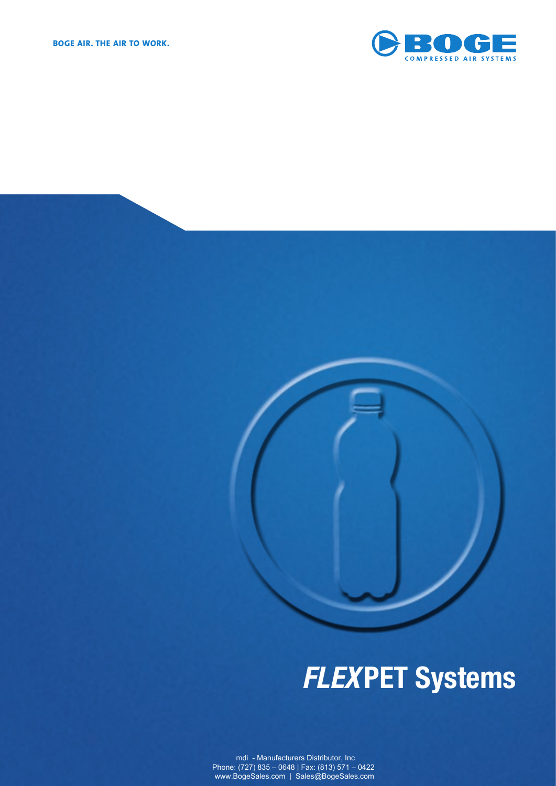

# *FLEX***PET Systems**

mdi - Manufacturers Distributor, Inc Phone: (727) 835 – 0648 | Fax: (813) 571 – 0422 www.BogeSales.com | Sales@BogeSales.com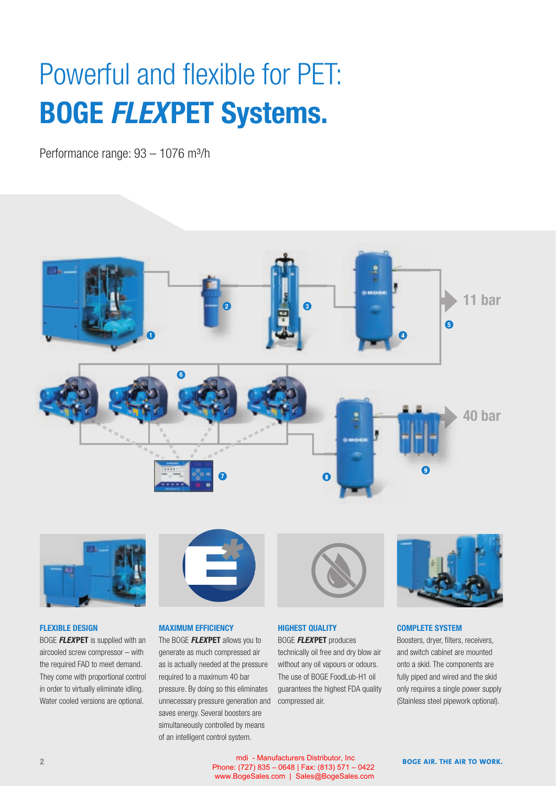## Powerful and flexible for PET: **BOGE** *FLEX***PET Systems.**

Performance range: 93 - 1076 m<sup>3</sup>/h





#### **FLEXIBLE DESIGN**

BOGE *FLEX***PET** is supplied with an aircooled screw compressor – with the required FAD to meet demand. They come with proportional control in order to virtually eliminate idling. Water cooled versions are optional.



### **MAXIMUM EFFICIENCY**

The BOGE *FLEX***PET** allows you to generate as much compressed air as is actually needed at the pressure required to a maximum 40 bar pressure. By doing so this eliminates unnecessary pressure generation and saves energy. Several boosters are simultaneously controlled by means of an intelligent control system.



### **HIGHEST QUALITY**

BOGE *FLEX***PET** produces technically oil free and dry blow air without any oil vapours or odours. The use of BOGE FoodLub-H1 oil guarantees the highest FDA quality compressed air.



#### **COMPLETE SYSTEM**

Boosters, dryer, filters, receivers, and switch cabinet are mounted onto a skid. The components are fully piped and wired and the skid only requires a single power supply (Stainless steel pipework optional).

**2 BOGE AIR. THE AIR TO WORK. BOGE AIR. THE AIR TO WORK.**  mdi - Manufacturers Distributor, Inc Phone: (727) 835 – 0648 | Fax: (813) 571 – 0422 www.BogeSales.com | Sales@BogeSales.com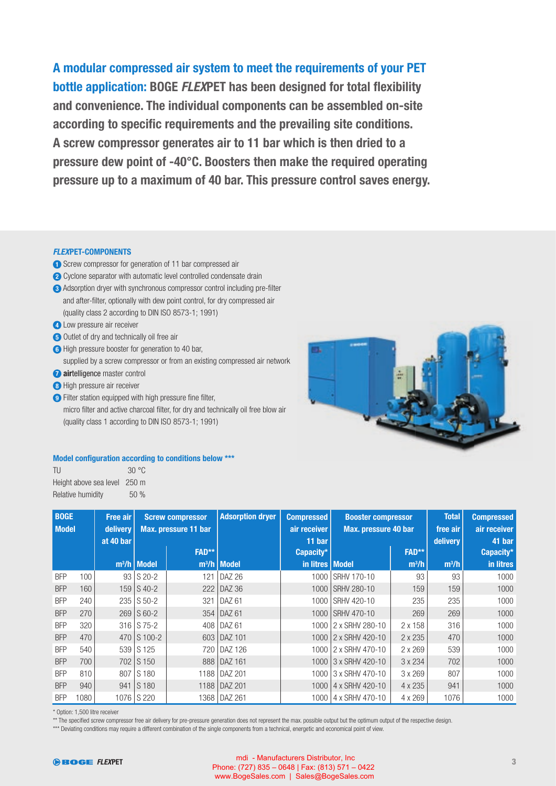**A modular compressed air system to meet the requirements of your PET bottle application: BOGE FLEXPET has been designed for total flexibility and convenience. The individual components can be assembled on-site**  according to specific requirements and the prevailing site conditions. **A screw compressor generates air to 11 bar which is then dried to a pressure dew point of -40°C. Boosters then make the required operating pressure up to a maximum of 40 bar. This pressure control saves energy.**

#### *FLEX***PET-COMPONENTS**

- **1** Screw compressor for generation of 11 bar compressed air
- **2** Cyclone separator with automatic level controlled condensate drain
- **3** Adsorption dryer with synchronous compressor control including pre-filter and after-filter, optionally with dew point control, for dry compressed air (quality class 2 according to DIN ISO 8573-1; 1991)
- **4** Low pressure air receiver
- **5** Outlet of dry and technically oil free air
- **6** High pressure booster for generation to 40 bar,
- supplied by a screw compressor or from an existing compressed air network
- **7 air**telligence master control
- **8** High pressure air receiver
- **9** Filter station equipped with high pressure fine filter,
	- micro filter and active charcoal filter, for dry and technically oil free blow air (quality class 1 according to DIN ISO 8573-1; 1991)



#### **Model configuration according to conditions below \*\*\***

| TU                           | 30 °C |
|------------------------------|-------|
| Height above sea level 250 m |       |
| Relative humidity            | 50%   |

| <b>BOGE</b><br><b>Free air</b><br><b>Model</b><br>delivery<br>at 40 bar |      | <b>Screw compressor</b><br>Max. pressure 11 bar |                | <b>Adsorption dryer</b> | <b>Compressed</b><br>air receiver<br>11 bar | <b>Booster compressor</b><br>Max. pressure 40 bar |                        | <b>Total</b><br>free air<br>delivery | <b>Compressed</b><br>air receiver<br>41 bar |           |
|-------------------------------------------------------------------------|------|-------------------------------------------------|----------------|-------------------------|---------------------------------------------|---------------------------------------------------|------------------------|--------------------------------------|---------------------------------------------|-----------|
|                                                                         |      |                                                 |                | FAD**                   |                                             | Capacity*                                         |                        | FAD**                                |                                             | Capacity* |
|                                                                         |      |                                                 | $m^3/h$ Model  |                         | $m^3/h$ Model                               | in litres   Model                                 |                        | $m^3/h$                              | $m^3/h$                                     | in litres |
| <b>BFP</b>                                                              | 100  |                                                 | $93$ S 20-2    | 121                     | <b>DAZ 26</b>                               | 1000                                              | SRHV 170-10            | 93                                   | 93                                          | 1000      |
| <b>BFP</b>                                                              | 160  | 159                                             | $\vert$ S 40-2 |                         | 222   DAZ 36                                | 1000                                              | <b>SRHV 280-10</b>     | 159                                  | 159                                         | 1000      |
| <b>BFP</b>                                                              | 240  | 235                                             | $S$ 50-2       | 321                     | DAZ 61                                      | 1000                                              | SRHV 420-10            | 235                                  | 235                                         | 1000      |
| <b>BFP</b>                                                              | 270  | 269                                             | $\vert$ S 60-2 |                         | 354   DAZ 61                                |                                                   | 1000 SRHV 470-10       | 269                                  | 269                                         | 1000      |
| <b>BFP</b>                                                              | 320  |                                                 | 316 S 75-2     |                         | 408   DAZ 61                                | 1000                                              | 2 x SRHV 280-10        | 2 x 158                              | 316                                         | 1000      |
| <b>BFP</b>                                                              | 470  | 470                                             | S 100-2        |                         | 603   DAZ 101                               |                                                   | 1000 2 x SRHV 420-10   | 2 x 235                              | 470                                         | 1000      |
| <b>BFP</b>                                                              | 540  | 539                                             | S 125          |                         | 720   DAZ 126                               |                                                   | 1000 2 x SRHV 470-10   | 2 x 269                              | 539                                         | 1000      |
| <b>BFP</b>                                                              | 700  | 702                                             | S 150          |                         | 888   DAZ 161                               | 1000                                              | 3 x SRHV 420-10        | 3 x 234                              | 702                                         | 1000      |
| <b>BFP</b>                                                              | 810  | 807                                             | S 180          |                         | 1188   DAZ 201                              |                                                   | 1000 3 x SRHV 470-10   | 3 x 269                              | 807                                         | 1000      |
| <b>BFP</b>                                                              | 940  | 941                                             | S 180          |                         | 1188   DAZ 201                              |                                                   | 1000   4 x SRHV 420-10 | 4 x 235                              | 941                                         | 1000      |
| <b>BFP</b>                                                              | 1080 |                                                 | 1076 S 220     |                         | 1368   DAZ 261                              |                                                   | 1000 4 x SRHV 470-10   | 4 x 269                              | 1076                                        | 1000      |

\* Option: 1,500 litre receiver

\*\* The specified screw compressor free air delivery for pre-pressure generation does not represent the max. possible output but the optimum output of the respective design.

\*\*\* Deviating conditions may require a different combination of the single components from a technical, energetic and economical point of view.